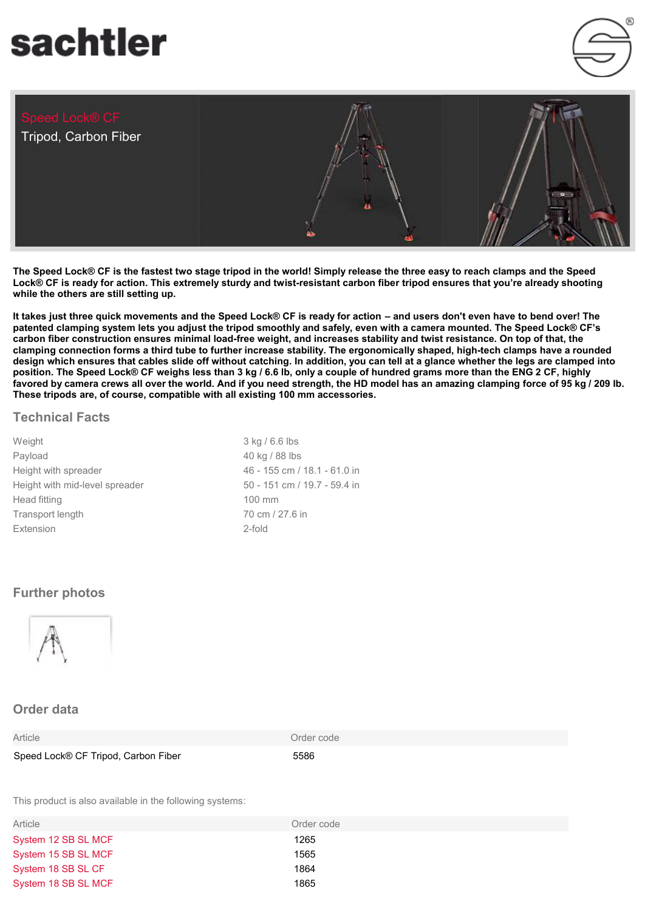# sachtler

Tripod, Carbon Fiber



**The Speed Lock® CF is the fastest two stage tripod in the world! Simply release the three easy to reach clamps and the Speed Lock® CF is ready for action. This extremely sturdy and twist-resistant carbon fiber tripod ensures that you're already shooting while the others are still setting up.**

**It takes just three quick movements and the Speed Lock® CF is ready for action – and users don't even have to bend over! The patented clamping system lets you adjust the tripod smoothly and safely, even with a camera mounted. The Speed Lock® CF's carbon fiber construction ensures minimal load-free weight, and increases stability and twist resistance. On top of that, the clamping connection forms a third tube to further increase stability. The ergonomically shaped, high-tech clamps have a rounded design which ensures that cables slide off without catching. In addition, you can tell at a glance whether the legs are clamped into position. The Speed Lock® CF weighs less than 3 kg / 6.6 lb, only a couple of hundred grams more than the ENG 2 CF, highly favored by camera crews all over the world. And if you need strength, the HD model has an amazing clamping force of 95 kg / 209 lb. These tripods are, of course, compatible with all existing 100 mm accessories.**

#### **Technical Facts**

| Weight                         | $3$ kg $/6$ .     |
|--------------------------------|-------------------|
| Payload                        | 40 kg / $8$       |
| Height with spreader           | 46 - 155          |
| Height with mid-level spreader | $50 - 151$        |
| Head fitting                   | 100 mm            |
| Transport length               | $70 \text{ cm}$ / |
| Extension                      | 2-fold            |

3 kg / 6.6 lbs 40 kg / 88 lbs 46 - 155 cm / 18.1 - 61.0 in 50 - 151 cm / 19.7 - 59.4 in 70 cm / 27.6 in

## **Further photos**



## **Order data**

| Speed Lock® CF Tripod, Carbon Fiber | 5586 |
|-------------------------------------|------|

Article **Contract Contract Contract Contract Contract Contract Contract Contract Contract Contract Contract Contract Contract Contract Contract Contract Contract Contract Contract Contract Contract Contract Contract Contra** 

This product is also available in the following systems:

| Article             | Order code |
|---------------------|------------|
| System 12 SB SL MCF | 1265       |
| System 15 SB SL MCF | 1565       |
| System 18 SB SL CF  | 1864       |
| System 18 SB SL MCF | 1865       |